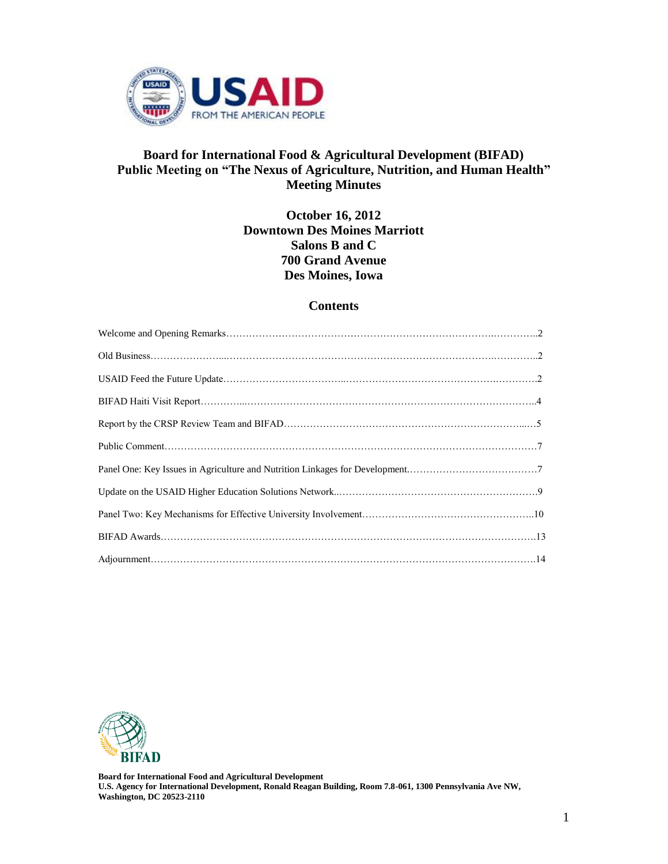

# **Board for International Food & Agricultural Development (BIFAD) Public Meeting on "The Nexus of Agriculture, Nutrition, and Human Health" Meeting Minutes**

**October 16, 2012 Downtown Des Moines Marriott Salons B and C 700 Grand Avenue Des Moines, Iowa**

#### **Contents**



**Board for International Food and Agricultural Development U.S. Agency for International Development, Ronald Reagan Building, Room 7.8-061, 1300 Pennsylvania Ave NW, Washington, DC 20523-2110**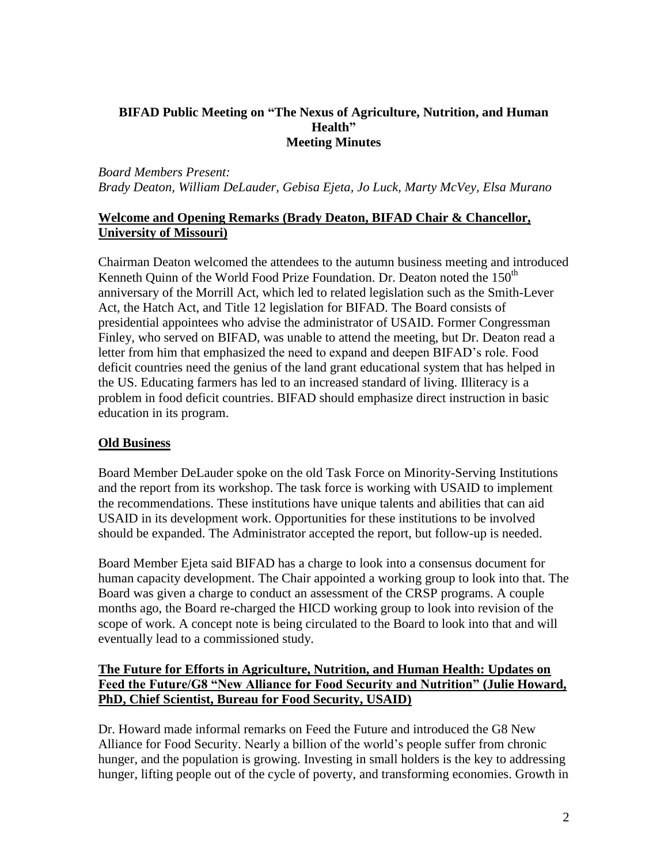## **BIFAD Public Meeting on "The Nexus of Agriculture, Nutrition, and Human Health" Meeting Minutes**

# *Board Members Present: Brady Deaton, William DeLauder, Gebisa Ejeta, Jo Luck, Marty McVey, Elsa Murano*

# **Welcome and Opening Remarks (Brady Deaton, BIFAD Chair & Chancellor, University of Missouri)**

Chairman Deaton welcomed the attendees to the autumn business meeting and introduced Kenneth Quinn of the World Food Prize Foundation. Dr. Deaton noted the  $150<sup>th</sup>$ anniversary of the Morrill Act, which led to related legislation such as the Smith-Lever Act, the Hatch Act, and Title 12 legislation for BIFAD. The Board consists of presidential appointees who advise the administrator of USAID. Former Congressman Finley, who served on BIFAD, was unable to attend the meeting, but Dr. Deaton read a letter from him that emphasized the need to expand and deepen BIFAD's role. Food deficit countries need the genius of the land grant educational system that has helped in the US. Educating farmers has led to an increased standard of living. Illiteracy is a problem in food deficit countries. BIFAD should emphasize direct instruction in basic education in its program.

# **Old Business**

Board Member DeLauder spoke on the old Task Force on Minority-Serving Institutions and the report from its workshop. The task force is working with USAID to implement the recommendations. These institutions have unique talents and abilities that can aid USAID in its development work. Opportunities for these institutions to be involved should be expanded. The Administrator accepted the report, but follow-up is needed.

Board Member Ejeta said BIFAD has a charge to look into a consensus document for human capacity development. The Chair appointed a working group to look into that. The Board was given a charge to conduct an assessment of the CRSP programs. A couple months ago, the Board re-charged the HICD working group to look into revision of the scope of work. A concept note is being circulated to the Board to look into that and will eventually lead to a commissioned study.

# **The Future for Efforts in Agriculture, Nutrition, and Human Health: Updates on Feed the Future/G8 "New Alliance for Food Security and Nutrition" (Julie Howard, PhD, Chief Scientist, Bureau for Food Security, USAID)**

Dr. Howard made informal remarks on Feed the Future and introduced the G8 New Alliance for Food Security. Nearly a billion of the world's people suffer from chronic hunger, and the population is growing. Investing in small holders is the key to addressing hunger, lifting people out of the cycle of poverty, and transforming economies. Growth in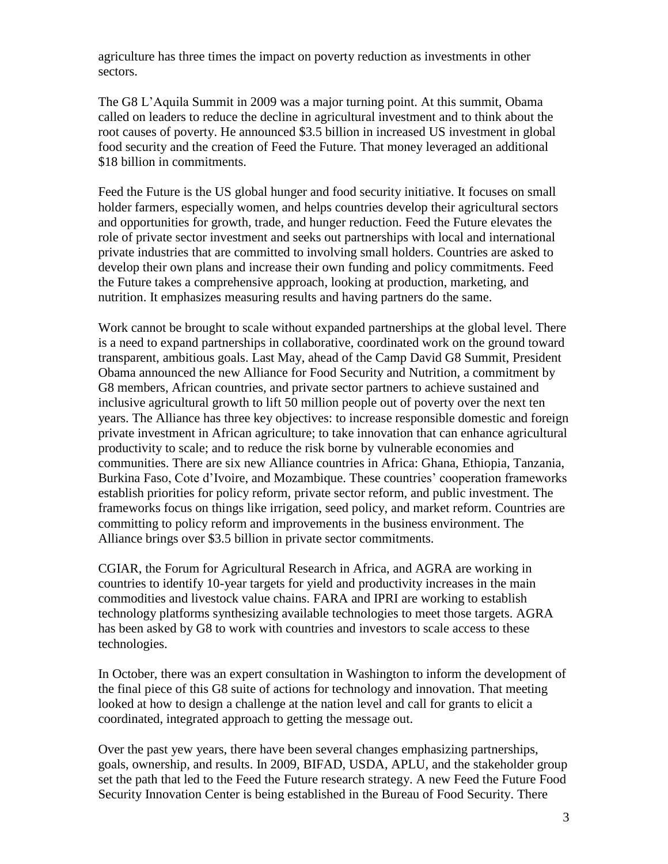agriculture has three times the impact on poverty reduction as investments in other sectors.

The G8 L'Aquila Summit in 2009 was a major turning point. At this summit, Obama called on leaders to reduce the decline in agricultural investment and to think about the root causes of poverty. He announced \$3.5 billion in increased US investment in global food security and the creation of Feed the Future. That money leveraged an additional \$18 billion in commitments.

Feed the Future is the US global hunger and food security initiative. It focuses on small holder farmers, especially women, and helps countries develop their agricultural sectors and opportunities for growth, trade, and hunger reduction. Feed the Future elevates the role of private sector investment and seeks out partnerships with local and international private industries that are committed to involving small holders. Countries are asked to develop their own plans and increase their own funding and policy commitments. Feed the Future takes a comprehensive approach, looking at production, marketing, and nutrition. It emphasizes measuring results and having partners do the same.

Work cannot be brought to scale without expanded partnerships at the global level. There is a need to expand partnerships in collaborative, coordinated work on the ground toward transparent, ambitious goals. Last May, ahead of the Camp David G8 Summit, President Obama announced the new Alliance for Food Security and Nutrition, a commitment by G8 members, African countries, and private sector partners to achieve sustained and inclusive agricultural growth to lift 50 million people out of poverty over the next ten years. The Alliance has three key objectives: to increase responsible domestic and foreign private investment in African agriculture; to take innovation that can enhance agricultural productivity to scale; and to reduce the risk borne by vulnerable economies and communities. There are six new Alliance countries in Africa: Ghana, Ethiopia, Tanzania, Burkina Faso, Cote d'Ivoire, and Mozambique. These countries' cooperation frameworks establish priorities for policy reform, private sector reform, and public investment. The frameworks focus on things like irrigation, seed policy, and market reform. Countries are committing to policy reform and improvements in the business environment. The Alliance brings over \$3.5 billion in private sector commitments.

CGIAR, the Forum for Agricultural Research in Africa, and AGRA are working in countries to identify 10-year targets for yield and productivity increases in the main commodities and livestock value chains. FARA and IPRI are working to establish technology platforms synthesizing available technologies to meet those targets. AGRA has been asked by G8 to work with countries and investors to scale access to these technologies.

In October, there was an expert consultation in Washington to inform the development of the final piece of this G8 suite of actions for technology and innovation. That meeting looked at how to design a challenge at the nation level and call for grants to elicit a coordinated, integrated approach to getting the message out.

Over the past yew years, there have been several changes emphasizing partnerships, goals, ownership, and results. In 2009, BIFAD, USDA, APLU, and the stakeholder group set the path that led to the Feed the Future research strategy. A new Feed the Future Food Security Innovation Center is being established in the Bureau of Food Security. There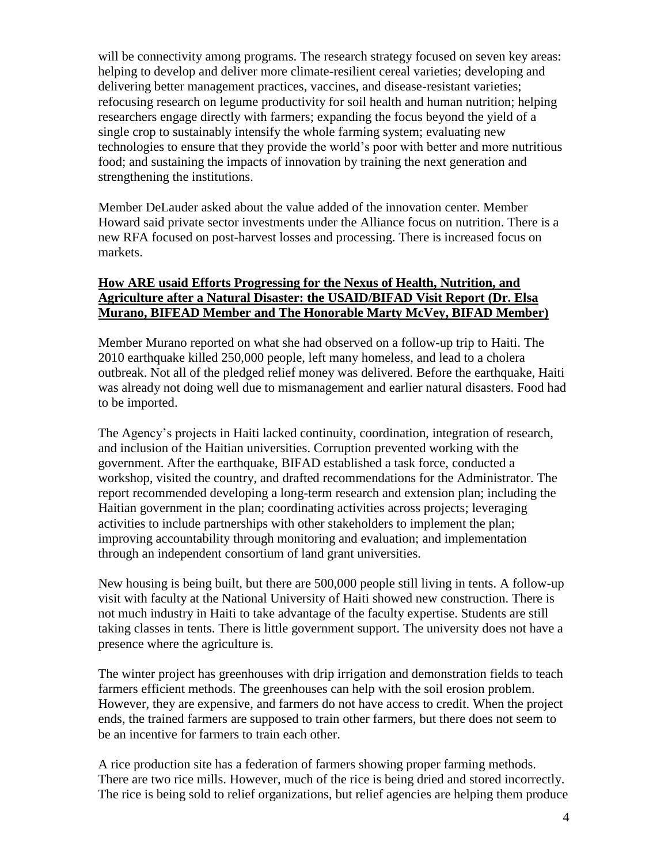will be connectivity among programs. The research strategy focused on seven key areas: helping to develop and deliver more climate-resilient cereal varieties; developing and delivering better management practices, vaccines, and disease-resistant varieties; refocusing research on legume productivity for soil health and human nutrition; helping researchers engage directly with farmers; expanding the focus beyond the yield of a single crop to sustainably intensify the whole farming system; evaluating new technologies to ensure that they provide the world's poor with better and more nutritious food; and sustaining the impacts of innovation by training the next generation and strengthening the institutions.

Member DeLauder asked about the value added of the innovation center. Member Howard said private sector investments under the Alliance focus on nutrition. There is a new RFA focused on post-harvest losses and processing. There is increased focus on markets.

# **How ARE usaid Efforts Progressing for the Nexus of Health, Nutrition, and Agriculture after a Natural Disaster: the USAID/BIFAD Visit Report (Dr. Elsa Murano, BIFEAD Member and The Honorable Marty McVey, BIFAD Member)**

Member Murano reported on what she had observed on a follow-up trip to Haiti. The 2010 earthquake killed 250,000 people, left many homeless, and lead to a cholera outbreak. Not all of the pledged relief money was delivered. Before the earthquake, Haiti was already not doing well due to mismanagement and earlier natural disasters. Food had to be imported.

The Agency's projects in Haiti lacked continuity, coordination, integration of research, and inclusion of the Haitian universities. Corruption prevented working with the government. After the earthquake, BIFAD established a task force, conducted a workshop, visited the country, and drafted recommendations for the Administrator. The report recommended developing a long-term research and extension plan; including the Haitian government in the plan; coordinating activities across projects; leveraging activities to include partnerships with other stakeholders to implement the plan; improving accountability through monitoring and evaluation; and implementation through an independent consortium of land grant universities.

New housing is being built, but there are 500,000 people still living in tents. A follow-up visit with faculty at the National University of Haiti showed new construction. There is not much industry in Haiti to take advantage of the faculty expertise. Students are still taking classes in tents. There is little government support. The university does not have a presence where the agriculture is.

The winter project has greenhouses with drip irrigation and demonstration fields to teach farmers efficient methods. The greenhouses can help with the soil erosion problem. However, they are expensive, and farmers do not have access to credit. When the project ends, the trained farmers are supposed to train other farmers, but there does not seem to be an incentive for farmers to train each other.

A rice production site has a federation of farmers showing proper farming methods. There are two rice mills. However, much of the rice is being dried and stored incorrectly. The rice is being sold to relief organizations, but relief agencies are helping them produce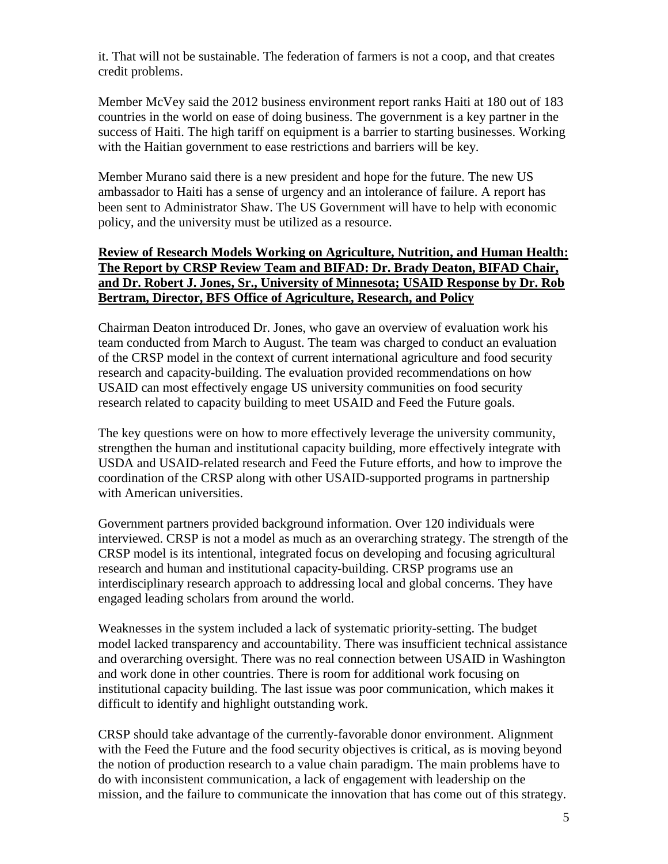it. That will not be sustainable. The federation of farmers is not a coop, and that creates credit problems.

Member McVey said the 2012 business environment report ranks Haiti at 180 out of 183 countries in the world on ease of doing business. The government is a key partner in the success of Haiti. The high tariff on equipment is a barrier to starting businesses. Working with the Haitian government to ease restrictions and barriers will be key.

Member Murano said there is a new president and hope for the future. The new US ambassador to Haiti has a sense of urgency and an intolerance of failure. A report has been sent to Administrator Shaw. The US Government will have to help with economic policy, and the university must be utilized as a resource.

## **Review of Research Models Working on Agriculture, Nutrition, and Human Health: The Report by CRSP Review Team and BIFAD: Dr. Brady Deaton, BIFAD Chair, and Dr. Robert J. Jones, Sr., University of Minnesota; USAID Response by Dr. Rob Bertram, Director, BFS Office of Agriculture, Research, and Policy**

Chairman Deaton introduced Dr. Jones, who gave an overview of evaluation work his team conducted from March to August. The team was charged to conduct an evaluation of the CRSP model in the context of current international agriculture and food security research and capacity-building. The evaluation provided recommendations on how USAID can most effectively engage US university communities on food security research related to capacity building to meet USAID and Feed the Future goals.

The key questions were on how to more effectively leverage the university community, strengthen the human and institutional capacity building, more effectively integrate with USDA and USAID-related research and Feed the Future efforts, and how to improve the coordination of the CRSP along with other USAID-supported programs in partnership with American universities.

Government partners provided background information. Over 120 individuals were interviewed. CRSP is not a model as much as an overarching strategy. The strength of the CRSP model is its intentional, integrated focus on developing and focusing agricultural research and human and institutional capacity-building. CRSP programs use an interdisciplinary research approach to addressing local and global concerns. They have engaged leading scholars from around the world.

Weaknesses in the system included a lack of systematic priority-setting. The budget model lacked transparency and accountability. There was insufficient technical assistance and overarching oversight. There was no real connection between USAID in Washington and work done in other countries. There is room for additional work focusing on institutional capacity building. The last issue was poor communication, which makes it difficult to identify and highlight outstanding work.

CRSP should take advantage of the currently-favorable donor environment. Alignment with the Feed the Future and the food security objectives is critical, as is moving beyond the notion of production research to a value chain paradigm. The main problems have to do with inconsistent communication, a lack of engagement with leadership on the mission, and the failure to communicate the innovation that has come out of this strategy.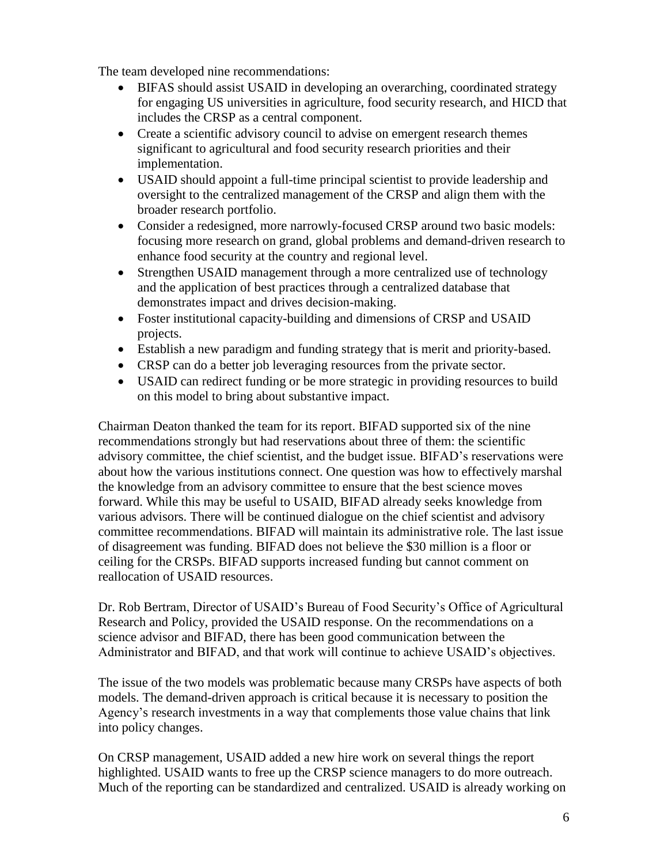The team developed nine recommendations:

- BIFAS should assist USAID in developing an overarching, coordinated strategy for engaging US universities in agriculture, food security research, and HICD that includes the CRSP as a central component.
- Create a scientific advisory council to advise on emergent research themes significant to agricultural and food security research priorities and their implementation.
- USAID should appoint a full-time principal scientist to provide leadership and oversight to the centralized management of the CRSP and align them with the broader research portfolio.
- Consider a redesigned, more narrowly-focused CRSP around two basic models: focusing more research on grand, global problems and demand-driven research to enhance food security at the country and regional level.
- Strengthen USAID management through a more centralized use of technology and the application of best practices through a centralized database that demonstrates impact and drives decision-making.
- Foster institutional capacity-building and dimensions of CRSP and USAID projects.
- Establish a new paradigm and funding strategy that is merit and priority-based.
- CRSP can do a better job leveraging resources from the private sector.
- USAID can redirect funding or be more strategic in providing resources to build on this model to bring about substantive impact.

Chairman Deaton thanked the team for its report. BIFAD supported six of the nine recommendations strongly but had reservations about three of them: the scientific advisory committee, the chief scientist, and the budget issue. BIFAD's reservations were about how the various institutions connect. One question was how to effectively marshal the knowledge from an advisory committee to ensure that the best science moves forward. While this may be useful to USAID, BIFAD already seeks knowledge from various advisors. There will be continued dialogue on the chief scientist and advisory committee recommendations. BIFAD will maintain its administrative role. The last issue of disagreement was funding. BIFAD does not believe the \$30 million is a floor or ceiling for the CRSPs. BIFAD supports increased funding but cannot comment on reallocation of USAID resources.

Dr. Rob Bertram, Director of USAID's Bureau of Food Security's Office of Agricultural Research and Policy, provided the USAID response. On the recommendations on a science advisor and BIFAD, there has been good communication between the Administrator and BIFAD, and that work will continue to achieve USAID's objectives.

The issue of the two models was problematic because many CRSPs have aspects of both models. The demand-driven approach is critical because it is necessary to position the Agency's research investments in a way that complements those value chains that link into policy changes.

On CRSP management, USAID added a new hire work on several things the report highlighted. USAID wants to free up the CRSP science managers to do more outreach. Much of the reporting can be standardized and centralized. USAID is already working on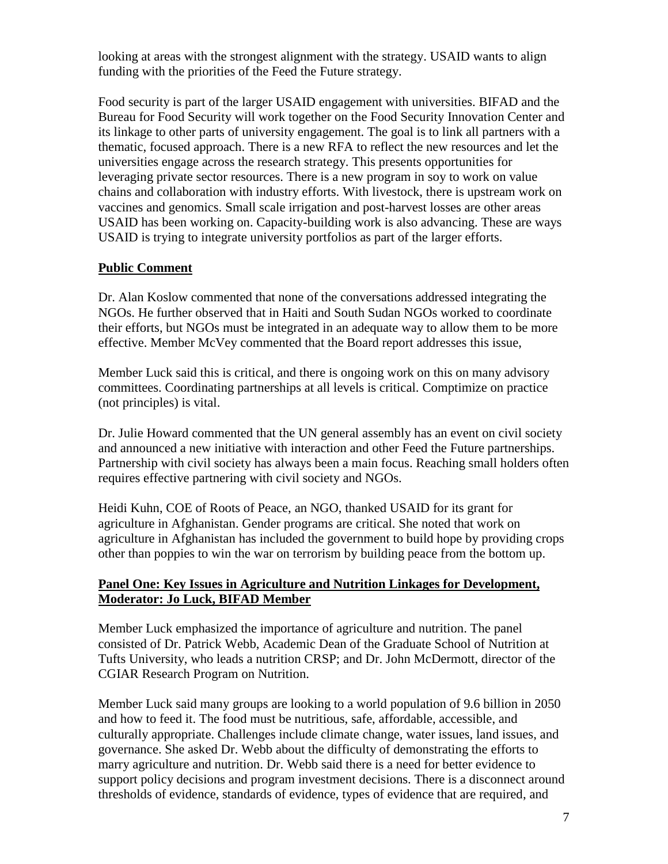looking at areas with the strongest alignment with the strategy. USAID wants to align funding with the priorities of the Feed the Future strategy.

Food security is part of the larger USAID engagement with universities. BIFAD and the Bureau for Food Security will work together on the Food Security Innovation Center and its linkage to other parts of university engagement. The goal is to link all partners with a thematic, focused approach. There is a new RFA to reflect the new resources and let the universities engage across the research strategy. This presents opportunities for leveraging private sector resources. There is a new program in soy to work on value chains and collaboration with industry efforts. With livestock, there is upstream work on vaccines and genomics. Small scale irrigation and post-harvest losses are other areas USAID has been working on. Capacity-building work is also advancing. These are ways USAID is trying to integrate university portfolios as part of the larger efforts.

# **Public Comment**

Dr. Alan Koslow commented that none of the conversations addressed integrating the NGOs. He further observed that in Haiti and South Sudan NGOs worked to coordinate their efforts, but NGOs must be integrated in an adequate way to allow them to be more effective. Member McVey commented that the Board report addresses this issue,

Member Luck said this is critical, and there is ongoing work on this on many advisory committees. Coordinating partnerships at all levels is critical. Comptimize on practice (not principles) is vital.

Dr. Julie Howard commented that the UN general assembly has an event on civil society and announced a new initiative with interaction and other Feed the Future partnerships. Partnership with civil society has always been a main focus. Reaching small holders often requires effective partnering with civil society and NGOs.

Heidi Kuhn, COE of Roots of Peace, an NGO, thanked USAID for its grant for agriculture in Afghanistan. Gender programs are critical. She noted that work on agriculture in Afghanistan has included the government to build hope by providing crops other than poppies to win the war on terrorism by building peace from the bottom up.

### **Panel One: Key Issues in Agriculture and Nutrition Linkages for Development, Moderator: Jo Luck, BIFAD Member**

Member Luck emphasized the importance of agriculture and nutrition. The panel consisted of Dr. Patrick Webb, Academic Dean of the Graduate School of Nutrition at Tufts University, who leads a nutrition CRSP; and Dr. John McDermott, director of the CGIAR Research Program on Nutrition.

Member Luck said many groups are looking to a world population of 9.6 billion in 2050 and how to feed it. The food must be nutritious, safe, affordable, accessible, and culturally appropriate. Challenges include climate change, water issues, land issues, and governance. She asked Dr. Webb about the difficulty of demonstrating the efforts to marry agriculture and nutrition. Dr. Webb said there is a need for better evidence to support policy decisions and program investment decisions. There is a disconnect around thresholds of evidence, standards of evidence, types of evidence that are required, and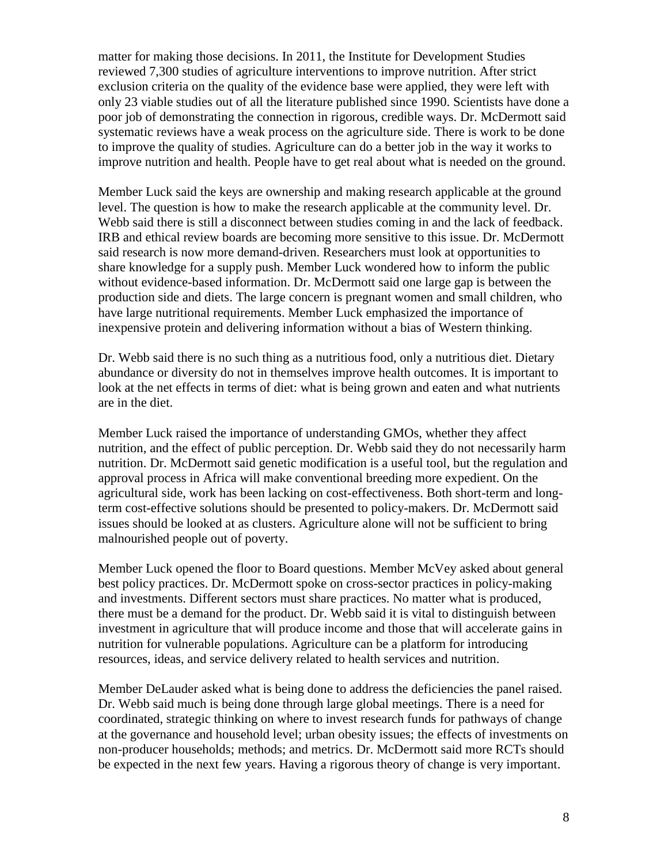matter for making those decisions. In 2011, the Institute for Development Studies reviewed 7,300 studies of agriculture interventions to improve nutrition. After strict exclusion criteria on the quality of the evidence base were applied, they were left with only 23 viable studies out of all the literature published since 1990. Scientists have done a poor job of demonstrating the connection in rigorous, credible ways. Dr. McDermott said systematic reviews have a weak process on the agriculture side. There is work to be done to improve the quality of studies. Agriculture can do a better job in the way it works to improve nutrition and health. People have to get real about what is needed on the ground.

Member Luck said the keys are ownership and making research applicable at the ground level. The question is how to make the research applicable at the community level. Dr. Webb said there is still a disconnect between studies coming in and the lack of feedback. IRB and ethical review boards are becoming more sensitive to this issue. Dr. McDermott said research is now more demand-driven. Researchers must look at opportunities to share knowledge for a supply push. Member Luck wondered how to inform the public without evidence-based information. Dr. McDermott said one large gap is between the production side and diets. The large concern is pregnant women and small children, who have large nutritional requirements. Member Luck emphasized the importance of inexpensive protein and delivering information without a bias of Western thinking.

Dr. Webb said there is no such thing as a nutritious food, only a nutritious diet. Dietary abundance or diversity do not in themselves improve health outcomes. It is important to look at the net effects in terms of diet: what is being grown and eaten and what nutrients are in the diet.

Member Luck raised the importance of understanding GMOs, whether they affect nutrition, and the effect of public perception. Dr. Webb said they do not necessarily harm nutrition. Dr. McDermott said genetic modification is a useful tool, but the regulation and approval process in Africa will make conventional breeding more expedient. On the agricultural side, work has been lacking on cost-effectiveness. Both short-term and longterm cost-effective solutions should be presented to policy-makers. Dr. McDermott said issues should be looked at as clusters. Agriculture alone will not be sufficient to bring malnourished people out of poverty.

Member Luck opened the floor to Board questions. Member McVey asked about general best policy practices. Dr. McDermott spoke on cross-sector practices in policy-making and investments. Different sectors must share practices. No matter what is produced, there must be a demand for the product. Dr. Webb said it is vital to distinguish between investment in agriculture that will produce income and those that will accelerate gains in nutrition for vulnerable populations. Agriculture can be a platform for introducing resources, ideas, and service delivery related to health services and nutrition.

Member DeLauder asked what is being done to address the deficiencies the panel raised. Dr. Webb said much is being done through large global meetings. There is a need for coordinated, strategic thinking on where to invest research funds for pathways of change at the governance and household level; urban obesity issues; the effects of investments on non-producer households; methods; and metrics. Dr. McDermott said more RCTs should be expected in the next few years. Having a rigorous theory of change is very important.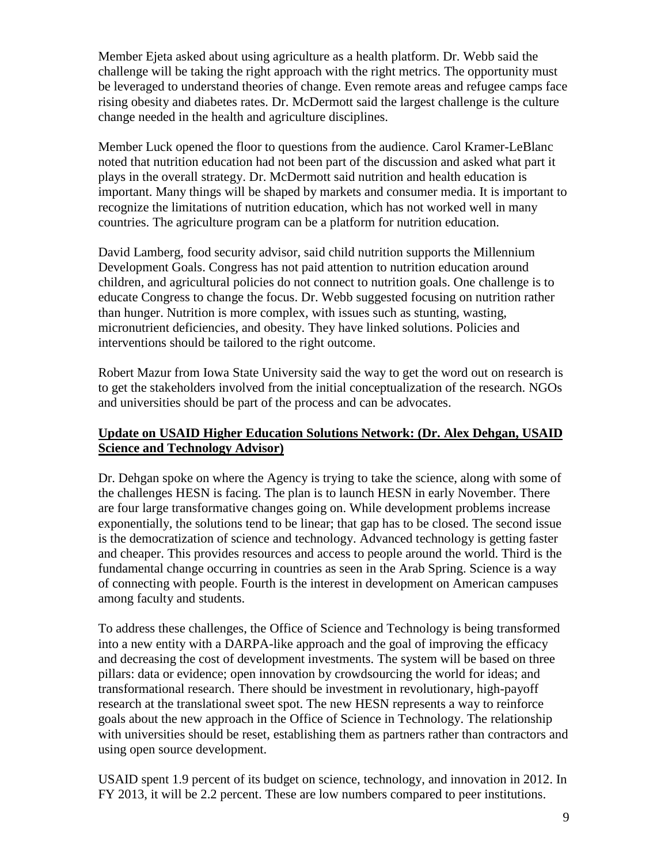Member Ejeta asked about using agriculture as a health platform. Dr. Webb said the challenge will be taking the right approach with the right metrics. The opportunity must be leveraged to understand theories of change. Even remote areas and refugee camps face rising obesity and diabetes rates. Dr. McDermott said the largest challenge is the culture change needed in the health and agriculture disciplines.

Member Luck opened the floor to questions from the audience. Carol Kramer-LeBlanc noted that nutrition education had not been part of the discussion and asked what part it plays in the overall strategy. Dr. McDermott said nutrition and health education is important. Many things will be shaped by markets and consumer media. It is important to recognize the limitations of nutrition education, which has not worked well in many countries. The agriculture program can be a platform for nutrition education.

David Lamberg, food security advisor, said child nutrition supports the Millennium Development Goals. Congress has not paid attention to nutrition education around children, and agricultural policies do not connect to nutrition goals. One challenge is to educate Congress to change the focus. Dr. Webb suggested focusing on nutrition rather than hunger. Nutrition is more complex, with issues such as stunting, wasting, micronutrient deficiencies, and obesity. They have linked solutions. Policies and interventions should be tailored to the right outcome.

Robert Mazur from Iowa State University said the way to get the word out on research is to get the stakeholders involved from the initial conceptualization of the research. NGOs and universities should be part of the process and can be advocates.

# **Update on USAID Higher Education Solutions Network: (Dr. Alex Dehgan, USAID Science and Technology Advisor)**

Dr. Dehgan spoke on where the Agency is trying to take the science, along with some of the challenges HESN is facing. The plan is to launch HESN in early November. There are four large transformative changes going on. While development problems increase exponentially, the solutions tend to be linear; that gap has to be closed. The second issue is the democratization of science and technology. Advanced technology is getting faster and cheaper. This provides resources and access to people around the world. Third is the fundamental change occurring in countries as seen in the Arab Spring. Science is a way of connecting with people. Fourth is the interest in development on American campuses among faculty and students.

To address these challenges, the Office of Science and Technology is being transformed into a new entity with a DARPA-like approach and the goal of improving the efficacy and decreasing the cost of development investments. The system will be based on three pillars: data or evidence; open innovation by crowdsourcing the world for ideas; and transformational research. There should be investment in revolutionary, high-payoff research at the translational sweet spot. The new HESN represents a way to reinforce goals about the new approach in the Office of Science in Technology. The relationship with universities should be reset, establishing them as partners rather than contractors and using open source development.

USAID spent 1.9 percent of its budget on science, technology, and innovation in 2012. In FY 2013, it will be 2.2 percent. These are low numbers compared to peer institutions.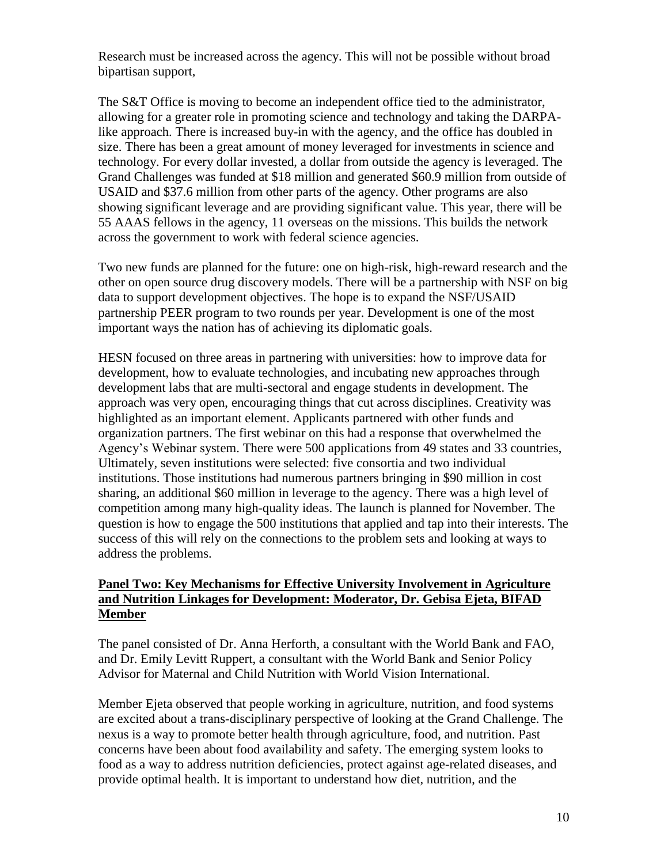Research must be increased across the agency. This will not be possible without broad bipartisan support,

The S&T Office is moving to become an independent office tied to the administrator, allowing for a greater role in promoting science and technology and taking the DARPAlike approach. There is increased buy-in with the agency, and the office has doubled in size. There has been a great amount of money leveraged for investments in science and technology. For every dollar invested, a dollar from outside the agency is leveraged. The Grand Challenges was funded at \$18 million and generated \$60.9 million from outside of USAID and \$37.6 million from other parts of the agency. Other programs are also showing significant leverage and are providing significant value. This year, there will be 55 AAAS fellows in the agency, 11 overseas on the missions. This builds the network across the government to work with federal science agencies.

Two new funds are planned for the future: one on high-risk, high-reward research and the other on open source drug discovery models. There will be a partnership with NSF on big data to support development objectives. The hope is to expand the NSF/USAID partnership PEER program to two rounds per year. Development is one of the most important ways the nation has of achieving its diplomatic goals.

HESN focused on three areas in partnering with universities: how to improve data for development, how to evaluate technologies, and incubating new approaches through development labs that are multi-sectoral and engage students in development. The approach was very open, encouraging things that cut across disciplines. Creativity was highlighted as an important element. Applicants partnered with other funds and organization partners. The first webinar on this had a response that overwhelmed the Agency's Webinar system. There were 500 applications from 49 states and 33 countries, Ultimately, seven institutions were selected: five consortia and two individual institutions. Those institutions had numerous partners bringing in \$90 million in cost sharing, an additional \$60 million in leverage to the agency. There was a high level of competition among many high-quality ideas. The launch is planned for November. The question is how to engage the 500 institutions that applied and tap into their interests. The success of this will rely on the connections to the problem sets and looking at ways to address the problems.

## **Panel Two: Key Mechanisms for Effective University Involvement in Agriculture and Nutrition Linkages for Development: Moderator, Dr. Gebisa Ejeta, BIFAD Member**

The panel consisted of Dr. Anna Herforth, a consultant with the World Bank and FAO, and Dr. Emily Levitt Ruppert, a consultant with the World Bank and Senior Policy Advisor for Maternal and Child Nutrition with World Vision International.

Member Ejeta observed that people working in agriculture, nutrition, and food systems are excited about a trans-disciplinary perspective of looking at the Grand Challenge. The nexus is a way to promote better health through agriculture, food, and nutrition. Past concerns have been about food availability and safety. The emerging system looks to food as a way to address nutrition deficiencies, protect against age-related diseases, and provide optimal health. It is important to understand how diet, nutrition, and the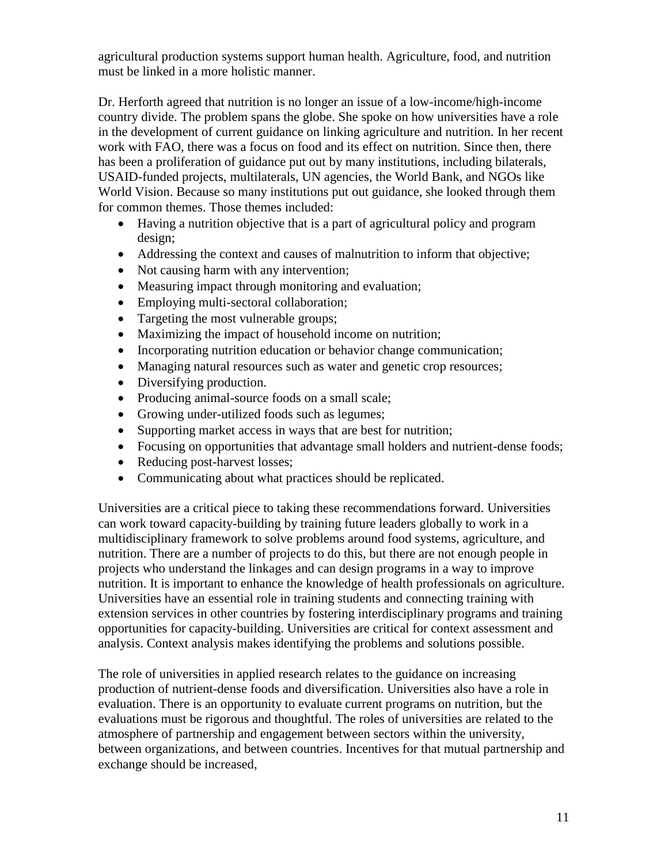agricultural production systems support human health. Agriculture, food, and nutrition must be linked in a more holistic manner.

Dr. Herforth agreed that nutrition is no longer an issue of a low-income/high-income country divide. The problem spans the globe. She spoke on how universities have a role in the development of current guidance on linking agriculture and nutrition. In her recent work with FAO, there was a focus on food and its effect on nutrition. Since then, there has been a proliferation of guidance put out by many institutions, including bilaterals, USAID-funded projects, multilaterals, UN agencies, the World Bank, and NGOs like World Vision. Because so many institutions put out guidance, she looked through them for common themes. Those themes included:

- Having a nutrition objective that is a part of agricultural policy and program design;
- Addressing the context and causes of malnutrition to inform that objective;
- Not causing harm with any intervention;
- Measuring impact through monitoring and evaluation;
- Employing multi-sectoral collaboration;
- Targeting the most vulnerable groups;
- Maximizing the impact of household income on nutrition;
- Incorporating nutrition education or behavior change communication;
- Managing natural resources such as water and genetic crop resources;
- Diversifying production.
- Producing animal-source foods on a small scale;
- Growing under-utilized foods such as legumes;
- Supporting market access in ways that are best for nutrition;
- Focusing on opportunities that advantage small holders and nutrient-dense foods;
- Reducing post-harvest losses;
- Communicating about what practices should be replicated.

Universities are a critical piece to taking these recommendations forward. Universities can work toward capacity-building by training future leaders globally to work in a multidisciplinary framework to solve problems around food systems, agriculture, and nutrition. There are a number of projects to do this, but there are not enough people in projects who understand the linkages and can design programs in a way to improve nutrition. It is important to enhance the knowledge of health professionals on agriculture. Universities have an essential role in training students and connecting training with extension services in other countries by fostering interdisciplinary programs and training opportunities for capacity-building. Universities are critical for context assessment and analysis. Context analysis makes identifying the problems and solutions possible.

The role of universities in applied research relates to the guidance on increasing production of nutrient-dense foods and diversification. Universities also have a role in evaluation. There is an opportunity to evaluate current programs on nutrition, but the evaluations must be rigorous and thoughtful. The roles of universities are related to the atmosphere of partnership and engagement between sectors within the university, between organizations, and between countries. Incentives for that mutual partnership and exchange should be increased,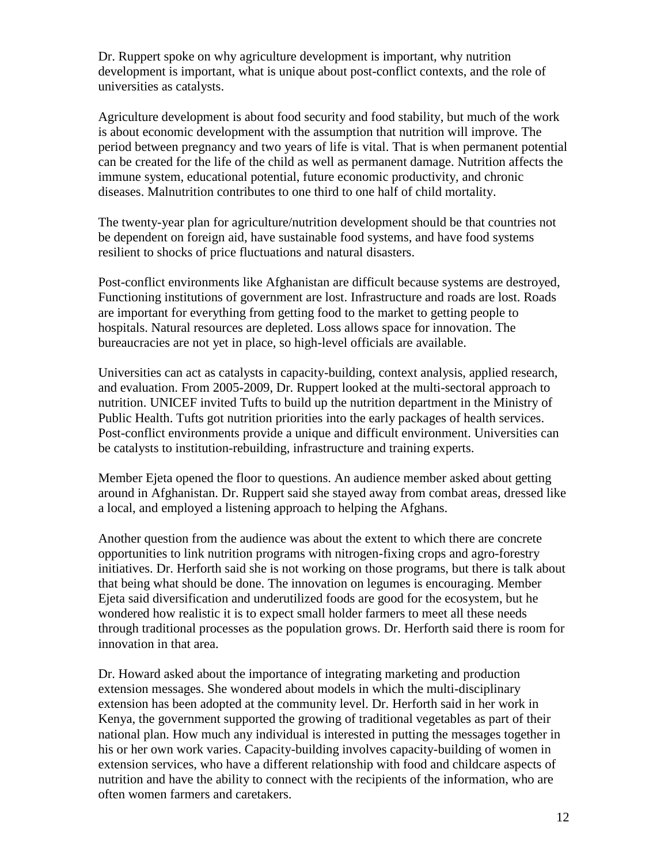Dr. Ruppert spoke on why agriculture development is important, why nutrition development is important, what is unique about post-conflict contexts, and the role of universities as catalysts.

Agriculture development is about food security and food stability, but much of the work is about economic development with the assumption that nutrition will improve. The period between pregnancy and two years of life is vital. That is when permanent potential can be created for the life of the child as well as permanent damage. Nutrition affects the immune system, educational potential, future economic productivity, and chronic diseases. Malnutrition contributes to one third to one half of child mortality.

The twenty-year plan for agriculture/nutrition development should be that countries not be dependent on foreign aid, have sustainable food systems, and have food systems resilient to shocks of price fluctuations and natural disasters.

Post-conflict environments like Afghanistan are difficult because systems are destroyed, Functioning institutions of government are lost. Infrastructure and roads are lost. Roads are important for everything from getting food to the market to getting people to hospitals. Natural resources are depleted. Loss allows space for innovation. The bureaucracies are not yet in place, so high-level officials are available.

Universities can act as catalysts in capacity-building, context analysis, applied research, and evaluation. From 2005-2009, Dr. Ruppert looked at the multi-sectoral approach to nutrition. UNICEF invited Tufts to build up the nutrition department in the Ministry of Public Health. Tufts got nutrition priorities into the early packages of health services. Post-conflict environments provide a unique and difficult environment. Universities can be catalysts to institution-rebuilding, infrastructure and training experts.

Member Ejeta opened the floor to questions. An audience member asked about getting around in Afghanistan. Dr. Ruppert said she stayed away from combat areas, dressed like a local, and employed a listening approach to helping the Afghans.

Another question from the audience was about the extent to which there are concrete opportunities to link nutrition programs with nitrogen-fixing crops and agro-forestry initiatives. Dr. Herforth said she is not working on those programs, but there is talk about that being what should be done. The innovation on legumes is encouraging. Member Ejeta said diversification and underutilized foods are good for the ecosystem, but he wondered how realistic it is to expect small holder farmers to meet all these needs through traditional processes as the population grows. Dr. Herforth said there is room for innovation in that area.

Dr. Howard asked about the importance of integrating marketing and production extension messages. She wondered about models in which the multi-disciplinary extension has been adopted at the community level. Dr. Herforth said in her work in Kenya, the government supported the growing of traditional vegetables as part of their national plan. How much any individual is interested in putting the messages together in his or her own work varies. Capacity-building involves capacity-building of women in extension services, who have a different relationship with food and childcare aspects of nutrition and have the ability to connect with the recipients of the information, who are often women farmers and caretakers.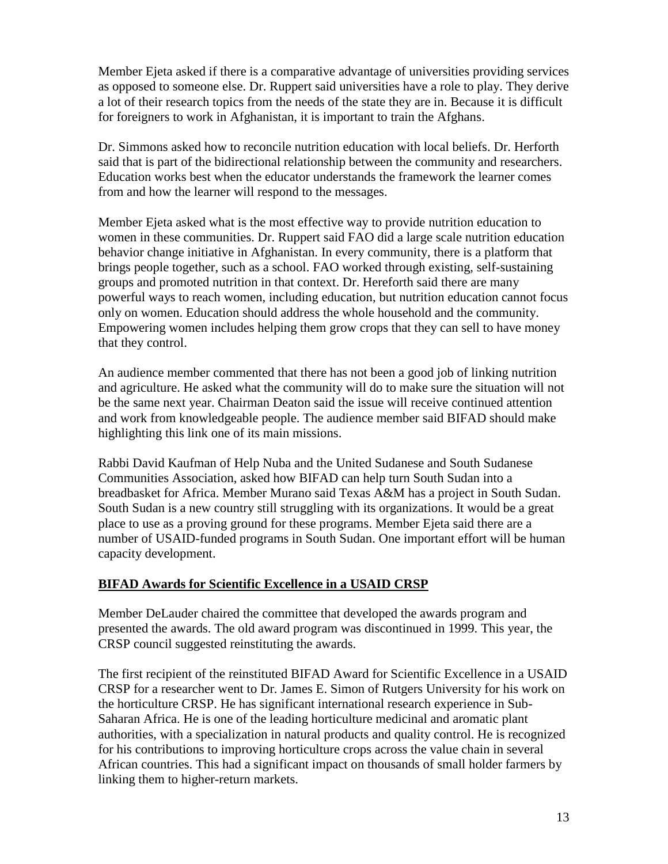Member Ejeta asked if there is a comparative advantage of universities providing services as opposed to someone else. Dr. Ruppert said universities have a role to play. They derive a lot of their research topics from the needs of the state they are in. Because it is difficult for foreigners to work in Afghanistan, it is important to train the Afghans.

Dr. Simmons asked how to reconcile nutrition education with local beliefs. Dr. Herforth said that is part of the bidirectional relationship between the community and researchers. Education works best when the educator understands the framework the learner comes from and how the learner will respond to the messages.

Member Ejeta asked what is the most effective way to provide nutrition education to women in these communities. Dr. Ruppert said FAO did a large scale nutrition education behavior change initiative in Afghanistan. In every community, there is a platform that brings people together, such as a school. FAO worked through existing, self-sustaining groups and promoted nutrition in that context. Dr. Hereforth said there are many powerful ways to reach women, including education, but nutrition education cannot focus only on women. Education should address the whole household and the community. Empowering women includes helping them grow crops that they can sell to have money that they control.

An audience member commented that there has not been a good job of linking nutrition and agriculture. He asked what the community will do to make sure the situation will not be the same next year. Chairman Deaton said the issue will receive continued attention and work from knowledgeable people. The audience member said BIFAD should make highlighting this link one of its main missions.

Rabbi David Kaufman of Help Nuba and the United Sudanese and South Sudanese Communities Association, asked how BIFAD can help turn South Sudan into a breadbasket for Africa. Member Murano said Texas A&M has a project in South Sudan. South Sudan is a new country still struggling with its organizations. It would be a great place to use as a proving ground for these programs. Member Ejeta said there are a number of USAID-funded programs in South Sudan. One important effort will be human capacity development.

# **BIFAD Awards for Scientific Excellence in a USAID CRSP**

Member DeLauder chaired the committee that developed the awards program and presented the awards. The old award program was discontinued in 1999. This year, the CRSP council suggested reinstituting the awards.

The first recipient of the reinstituted BIFAD Award for Scientific Excellence in a USAID CRSP for a researcher went to Dr. James E. Simon of Rutgers University for his work on the horticulture CRSP. He has significant international research experience in Sub-Saharan Africa. He is one of the leading horticulture medicinal and aromatic plant authorities, with a specialization in natural products and quality control. He is recognized for his contributions to improving horticulture crops across the value chain in several African countries. This had a significant impact on thousands of small holder farmers by linking them to higher-return markets.